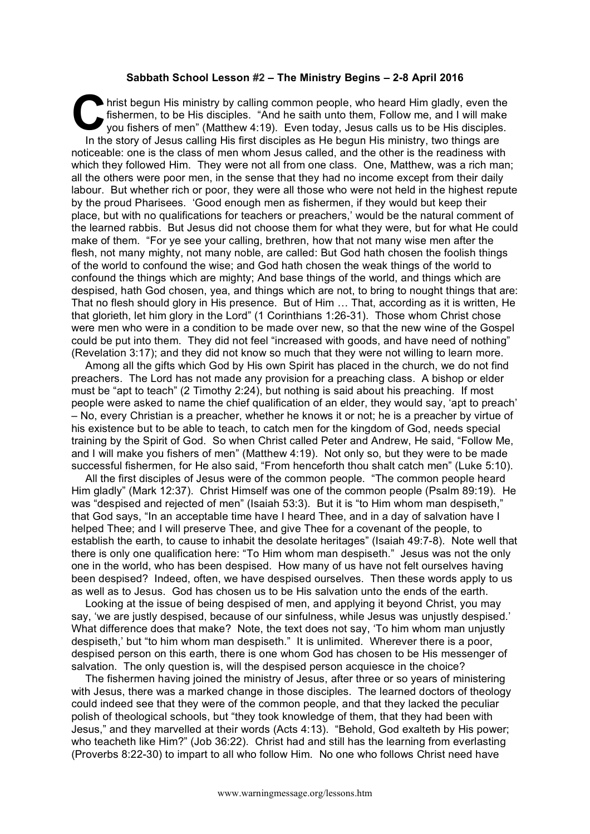## **Sabbath School Lesson #2 – The Ministry Begins – 2-8 April 2016**

hrist begun His ministry by calling common people, who heard Him gladly, even the fishermen, to be His disciples. "And he saith unto them, Follow me, and I will make you fishers of men" (Matthew 4:19). Even today, Jesus ca fishermen, to be His disciples. "And he saith unto them, Follow me, and I will make you fishers of men" (Matthew 4:19). Even today, Jesus calls us to be His disciples. In the story of Jesus calling His first disciples as He begun His ministry, two things are noticeable: one is the class of men whom Jesus called, and the other is the readiness with which they followed Him. They were not all from one class. One, Matthew, was a rich man; all the others were poor men, in the sense that they had no income except from their daily labour. But whether rich or poor, they were all those who were not held in the highest repute by the proud Pharisees. 'Good enough men as fishermen, if they would but keep their place, but with no qualifications for teachers or preachers,' would be the natural comment of the learned rabbis. But Jesus did not choose them for what they were, but for what He could make of them. "For ye see your calling, brethren, how that not many wise men after the flesh, not many mighty, not many noble, are called: But God hath chosen the foolish things of the world to confound the wise; and God hath chosen the weak things of the world to confound the things which are mighty; And base things of the world, and things which are despised, hath God chosen, yea, and things which are not, to bring to nought things that are: That no flesh should glory in His presence. But of Him … That, according as it is written, He that glorieth, let him glory in the Lord" (1 Corinthians 1:26-31). Those whom Christ chose were men who were in a condition to be made over new, so that the new wine of the Gospel could be put into them. They did not feel "increased with goods, and have need of nothing" (Revelation 3:17); and they did not know so much that they were not willing to learn more.

Among all the gifts which God by His own Spirit has placed in the church, we do not find preachers. The Lord has not made any provision for a preaching class. A bishop or elder must be "apt to teach" (2 Timothy 2:24), but nothing is said about his preaching. If most people were asked to name the chief qualification of an elder, they would say, 'apt to preach' – No, every Christian is a preacher, whether he knows it or not; he is a preacher by virtue of his existence but to be able to teach, to catch men for the kingdom of God, needs special training by the Spirit of God. So when Christ called Peter and Andrew, He said, "Follow Me, and I will make you fishers of men" (Matthew 4:19). Not only so, but they were to be made successful fishermen, for He also said, "From henceforth thou shalt catch men" (Luke 5:10).

All the first disciples of Jesus were of the common people. "The common people heard Him gladly" (Mark 12:37). Christ Himself was one of the common people (Psalm 89:19). He was "despised and rejected of men" (Isaiah 53:3). But it is "to Him whom man despiseth," that God says, "In an acceptable time have I heard Thee, and in a day of salvation have I helped Thee; and I will preserve Thee, and give Thee for a covenant of the people, to establish the earth, to cause to inhabit the desolate heritages" (Isaiah 49:7-8). Note well that there is only one qualification here: "To Him whom man despiseth." Jesus was not the only one in the world, who has been despised. How many of us have not felt ourselves having been despised? Indeed, often, we have despised ourselves. Then these words apply to us as well as to Jesus. God has chosen us to be His salvation unto the ends of the earth.

Looking at the issue of being despised of men, and applying it beyond Christ, you may say, 'we are justly despised, because of our sinfulness, while Jesus was unjustly despised.' What difference does that make? Note, the text does not say, 'To him whom man unjustly despiseth,' but "to him whom man despiseth." It is unlimited. Wherever there is a poor, despised person on this earth, there is one whom God has chosen to be His messenger of salvation. The only question is, will the despised person acquiesce in the choice?

The fishermen having joined the ministry of Jesus, after three or so years of ministering with Jesus, there was a marked change in those disciples. The learned doctors of theology could indeed see that they were of the common people, and that they lacked the peculiar polish of theological schools, but "they took knowledge of them, that they had been with Jesus," and they marvelled at their words (Acts 4:13). "Behold, God exalteth by His power; who teacheth like Him?" (Job 36:22). Christ had and still has the learning from everlasting (Proverbs 8:22-30) to impart to all who follow Him. No one who follows Christ need have